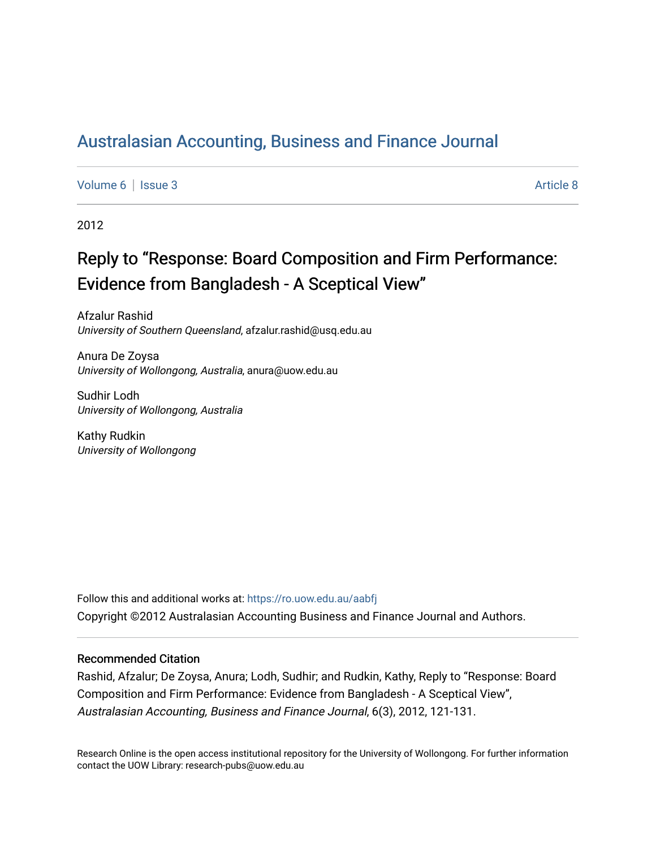## [Australasian Accounting, Business and Finance Journal](https://ro.uow.edu.au/aabfj)

[Volume 6](https://ro.uow.edu.au/aabfj/vol6) | [Issue 3](https://ro.uow.edu.au/aabfj/vol6/iss3) Article 8

2012

# Reply to "Response: Board Composition and Firm Performance: Evidence from Bangladesh - A Sceptical View"

Afzalur Rashid University of Southern Queensland, afzalur.rashid@usq.edu.au

Anura De Zoysa University of Wollongong, Australia, anura@uow.edu.au

Sudhir Lodh University of Wollongong, Australia

Kathy Rudkin University of Wollongong

Follow this and additional works at: [https://ro.uow.edu.au/aabfj](https://ro.uow.edu.au/aabfj?utm_source=ro.uow.edu.au%2Faabfj%2Fvol6%2Fiss3%2F8&utm_medium=PDF&utm_campaign=PDFCoverPages) Copyright ©2012 Australasian Accounting Business and Finance Journal and Authors.

#### Recommended Citation

Rashid, Afzalur; De Zoysa, Anura; Lodh, Sudhir; and Rudkin, Kathy, Reply to "Response: Board Composition and Firm Performance: Evidence from Bangladesh - A Sceptical View", Australasian Accounting, Business and Finance Journal, 6(3), 2012, 121-131.

Research Online is the open access institutional repository for the University of Wollongong. For further information contact the UOW Library: research-pubs@uow.edu.au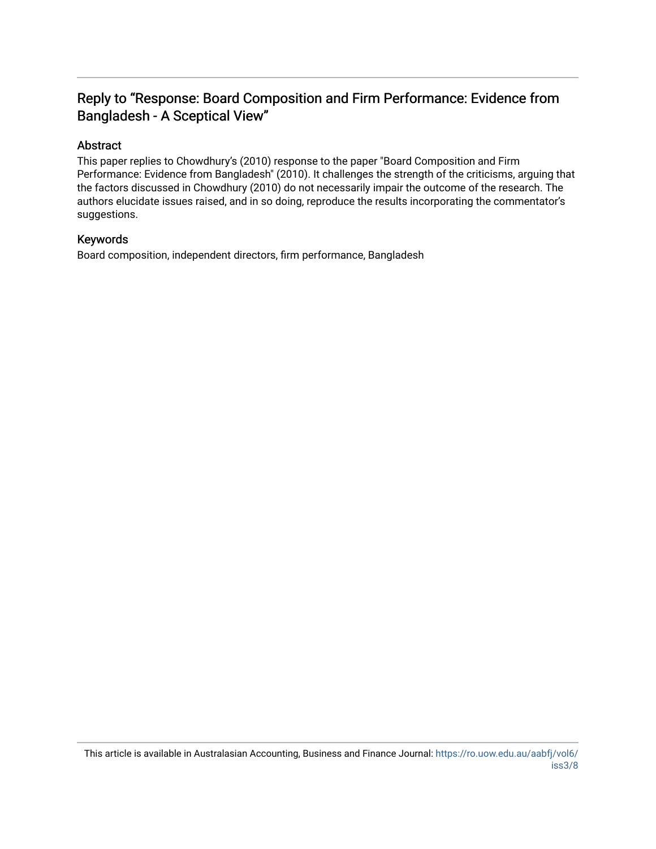### Reply to "Response: Board Composition and Firm Performance: Evidence from Bangladesh - A Sceptical View"

#### Abstract

This paper replies to Chowdhury's (2010) response to the paper "Board Composition and Firm Performance: Evidence from Bangladesh" (2010). It challenges the strength of the criticisms, arguing that the factors discussed in Chowdhury (2010) do not necessarily impair the outcome of the research. The authors elucidate issues raised, and in so doing, reproduce the results incorporating the commentator's suggestions.

#### Keywords

Board composition, independent directors, firm performance, Bangladesh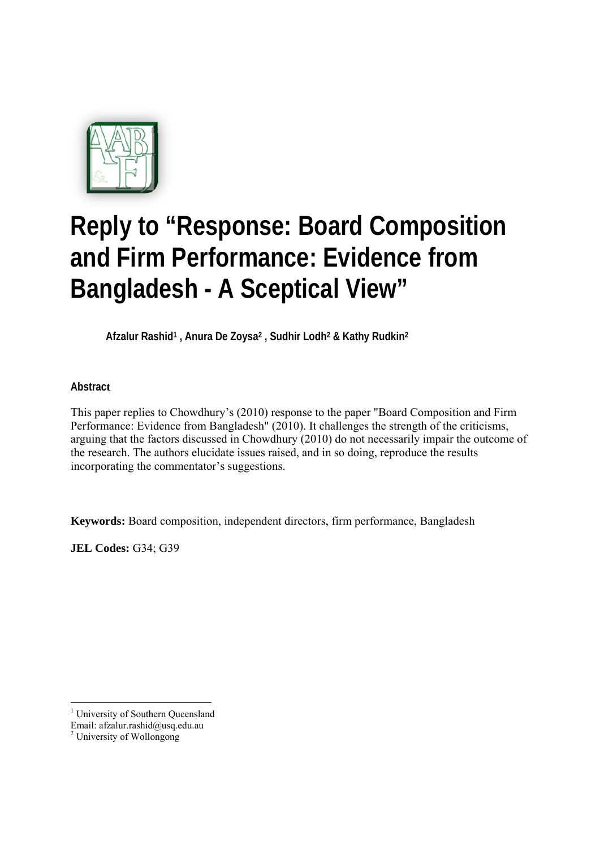

# **Reply to "Response: Board Composition and Firm Performance: Evidence from Bangladesh - A Sceptical View"**

**Afzalur Rashid1 , Anura De Zoysa2 , Sudhir Lodh2 & Kathy Rudkin2**

**Abstract** 

This paper replies to Chowdhury's (2010) response to the paper "Board Composition and Firm Performance: Evidence from Bangladesh" (2010). It challenges the strength of the criticisms, arguing that the factors discussed in Chowdhury (2010) do not necessarily impair the outcome of the research. The authors elucidate issues raised, and in so doing, reproduce the results incorporating the commentator's suggestions.

**Keywords:** Board composition, independent directors, firm performance, Bangladesh

**JEL Codes:** G34; G39

-

<sup>&</sup>lt;sup>1</sup> University of Southern Queensland

Email: afzalur.rashid@usq.edu.au

<sup>2</sup> University of Wollongong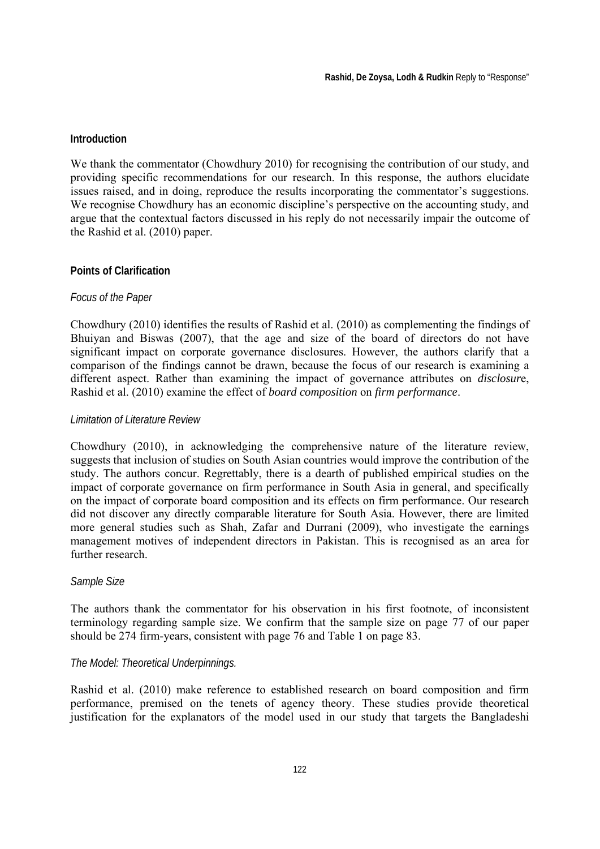#### **Introduction**

We thank the commentator (Chowdhury 2010) for recognising the contribution of our study, and providing specific recommendations for our research. In this response, the authors elucidate issues raised, and in doing, reproduce the results incorporating the commentator's suggestions. We recognise Chowdhury has an economic discipline's perspective on the accounting study, and argue that the contextual factors discussed in his reply do not necessarily impair the outcome of the Rashid et al. (2010) paper.

#### **Points of Clarification**

#### *Focus of the Paper*

Chowdhury (2010) identifies the results of Rashid et al. (2010) as complementing the findings of Bhuiyan and Biswas (2007), that the age and size of the board of directors do not have significant impact on corporate governance disclosures. However, the authors clarify that a comparison of the findings cannot be drawn, because the focus of our research is examining a different aspect. Rather than examining the impact of governance attributes on *disclosur*e, Rashid et al. (2010) examine the effect of *board composition* on *firm performance*.

#### *Limitation of Literature Review*

Chowdhury (2010), in acknowledging the comprehensive nature of the literature review, suggests that inclusion of studies on South Asian countries would improve the contribution of the study. The authors concur. Regrettably, there is a dearth of published empirical studies on the impact of corporate governance on firm performance in South Asia in general, and specifically on the impact of corporate board composition and its effects on firm performance. Our research did not discover any directly comparable literature for South Asia. However, there are limited more general studies such as Shah, Zafar and Durrani (2009), who investigate the earnings management motives of independent directors in Pakistan. This is recognised as an area for further research.

#### *Sample Size*

The authors thank the commentator for his observation in his first footnote, of inconsistent terminology regarding sample size. We confirm that the sample size on page 77 of our paper should be 274 firm-years, consistent with page 76 and Table 1 on page 83.

#### *The Model: Theoretical Underpinnings.*

Rashid et al. (2010) make reference to established research on board composition and firm performance, premised on the tenets of agency theory. These studies provide theoretical justification for the explanators of the model used in our study that targets the Bangladeshi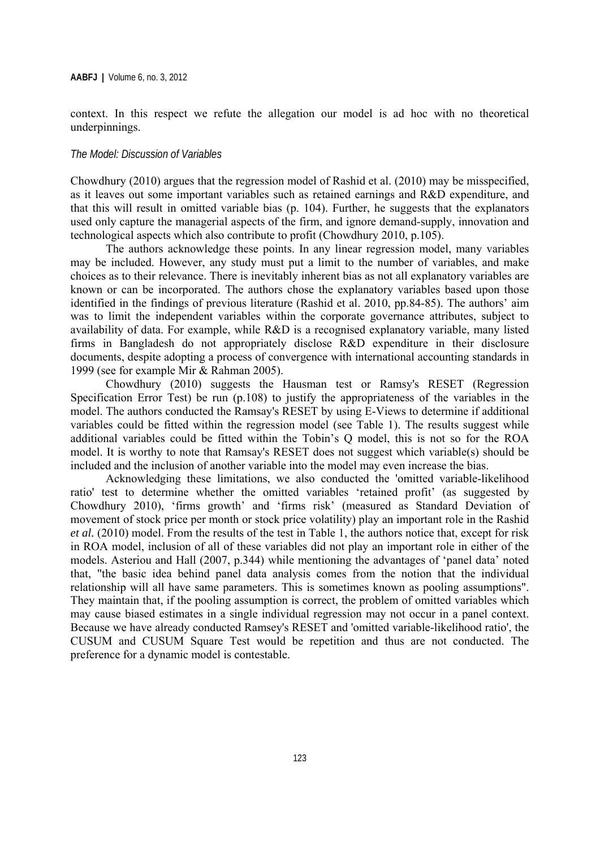context. In this respect we refute the allegation our model is ad hoc with no theoretical underpinnings.

#### *The Model: Discussion of Variables*

Chowdhury (2010) argues that the regression model of Rashid et al. (2010) may be misspecified, as it leaves out some important variables such as retained earnings and R&D expenditure, and that this will result in omitted variable bias (p. 104). Further, he suggests that the explanators used only capture the managerial aspects of the firm, and ignore demand-supply, innovation and technological aspects which also contribute to profit (Chowdhury 2010, p.105).

The authors acknowledge these points. In any linear regression model, many variables may be included. However, any study must put a limit to the number of variables, and make choices as to their relevance. There is inevitably inherent bias as not all explanatory variables are known or can be incorporated. The authors chose the explanatory variables based upon those identified in the findings of previous literature (Rashid et al. 2010, pp.84-85). The authors' aim was to limit the independent variables within the corporate governance attributes, subject to availability of data. For example, while R&D is a recognised explanatory variable, many listed firms in Bangladesh do not appropriately disclose R&D expenditure in their disclosure documents, despite adopting a process of convergence with international accounting standards in 1999 (see for example Mir & Rahman 2005).

Chowdhury (2010) suggests the Hausman test or Ramsy's RESET (Regression Specification Error Test) be run (p.108) to justify the appropriateness of the variables in the model. The authors conducted the Ramsay's RESET by using E-Views to determine if additional variables could be fitted within the regression model (see Table 1). The results suggest while additional variables could be fitted within the Tobin's Q model, this is not so for the ROA model. It is worthy to note that Ramsay's RESET does not suggest which variable(s) should be included and the inclusion of another variable into the model may even increase the bias.

Acknowledging these limitations, we also conducted the 'omitted variable-likelihood ratio' test to determine whether the omitted variables 'retained profit' (as suggested by Chowdhury 2010), 'firms growth' and 'firms risk' (measured as Standard Deviation of movement of stock price per month or stock price volatility) play an important role in the Rashid *et al.* (2010) model. From the results of the test in Table 1, the authors notice that, except for risk in ROA model, inclusion of all of these variables did not play an important role in either of the models. Asteriou and Hall (2007, p.344) while mentioning the advantages of 'panel data' noted that, "the basic idea behind panel data analysis comes from the notion that the individual relationship will all have same parameters. This is sometimes known as pooling assumptions". They maintain that, if the pooling assumption is correct, the problem of omitted variables which may cause biased estimates in a single individual regression may not occur in a panel context. Because we have already conducted Ramsey's RESET and 'omitted variable-likelihood ratio', the CUSUM and CUSUM Square Test would be repetition and thus are not conducted. The preference for a dynamic model is contestable.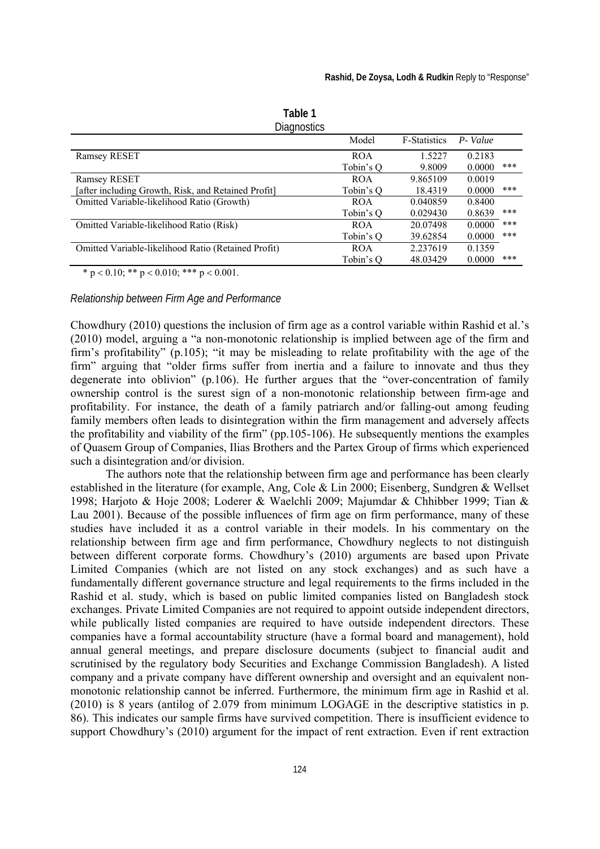| <b>Diagnostics</b>                                  |            |                     |         |     |
|-----------------------------------------------------|------------|---------------------|---------|-----|
|                                                     | Model      | <b>F-Statistics</b> | P-Value |     |
| <b>Ramsey RESET</b>                                 | <b>ROA</b> | 1.5227              | 0.2183  |     |
|                                                     | Tobin's O  | 9.8009              | 0.0000  | *** |
| <b>Ramsey RESET</b>                                 | <b>ROA</b> | 9.865109            | 0.0019  |     |
| [after including Growth, Risk, and Retained Profit] | Tobin's O  | 18.4319             | 0.0000  | *** |
| Omitted Variable-likelihood Ratio (Growth)          | <b>ROA</b> | 0.040859            | 0.8400  |     |
|                                                     | Tobin's O  | 0.029430            | 0.8639  | *** |
| Omitted Variable-likelihood Ratio (Risk)            | <b>ROA</b> | 20.07498            | 0.0000  | *** |
|                                                     | Tobin's O  | 39.62854            | 0.0000  | *** |
| Omitted Variable-likelihood Ratio (Retained Profit) | <b>ROA</b> | 2.237619            | 0.1359  |     |
|                                                     | Tobin's O  | 48.03429            | 0.0000  | *** |

**Table 1** 

\* p < 0.10; \*\* p < 0.010; \*\*\* p < 0.001.

*Relationship between Firm Age and Performance* 

Chowdhury (2010) questions the inclusion of firm age as a control variable within Rashid et al.'s (2010) model, arguing a "a non-monotonic relationship is implied between age of the firm and firm's profitability" (p.105); "it may be misleading to relate profitability with the age of the firm" arguing that "older firms suffer from inertia and a failure to innovate and thus they degenerate into oblivion" (p.106). He further argues that the "over-concentration of family ownership control is the surest sign of a non-monotonic relationship between firm-age and profitability. For instance, the death of a family patriarch and/or falling-out among feuding family members often leads to disintegration within the firm management and adversely affects the profitability and viability of the firm" (pp.105-106). He subsequently mentions the examples of Quasem Group of Companies, Ilias Brothers and the Partex Group of firms which experienced such a disintegration and/or division.

The authors note that the relationship between firm age and performance has been clearly established in the literature (for example, Ang*,* Cole & Lin 2000; Eisenberg, Sundgren & Wellset 1998; Harjoto & Hoje 2008; Loderer & Waelchli 2009; Majumdar & Chhibber 1999; Tian & Lau 2001). Because of the possible influences of firm age on firm performance, many of these studies have included it as a control variable in their models. In his commentary on the relationship between firm age and firm performance, Chowdhury neglects to not distinguish between different corporate forms. Chowdhury's (2010) arguments are based upon Private Limited Companies (which are not listed on any stock exchanges) and as such have a fundamentally different governance structure and legal requirements to the firms included in the Rashid et al. study, which is based on public limited companies listed on Bangladesh stock exchanges. Private Limited Companies are not required to appoint outside independent directors, while publically listed companies are required to have outside independent directors. These companies have a formal accountability structure (have a formal board and management), hold annual general meetings, and prepare disclosure documents (subject to financial audit and scrutinised by the regulatory body Securities and Exchange Commission Bangladesh). A listed company and a private company have different ownership and oversight and an equivalent nonmonotonic relationship cannot be inferred. Furthermore, the minimum firm age in Rashid et al. (2010) is 8 years (antilog of 2.079 from minimum LOGAGE in the descriptive statistics in p. 86). This indicates our sample firms have survived competition. There is insufficient evidence to support Chowdhury's (2010) argument for the impact of rent extraction. Even if rent extraction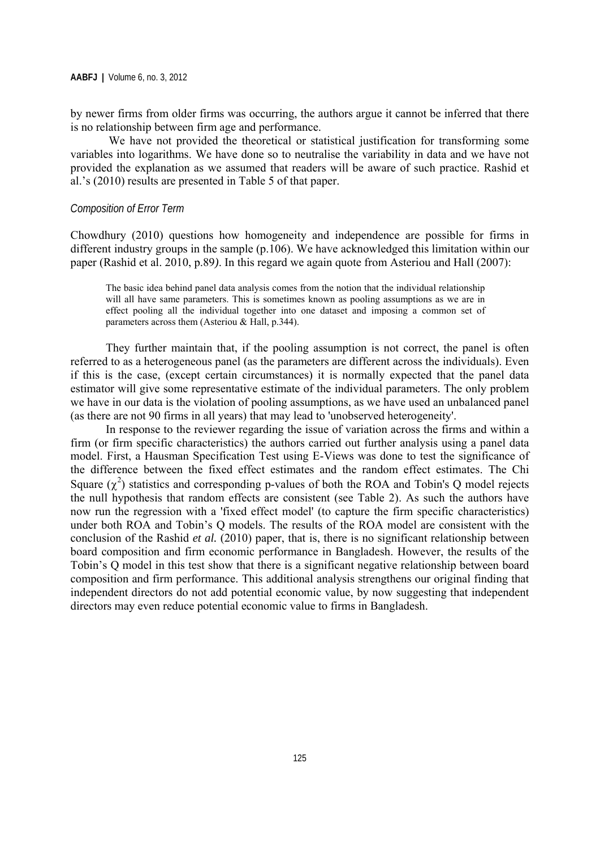by newer firms from older firms was occurring, the authors argue it cannot be inferred that there is no relationship between firm age and performance.

 We have not provided the theoretical or statistical justification for transforming some variables into logarithms. We have done so to neutralise the variability in data and we have not provided the explanation as we assumed that readers will be aware of such practice. Rashid et al.'s (2010) results are presented in Table 5 of that paper.

#### *Composition of Error Term*

Chowdhury (2010) questions how homogeneity and independence are possible for firms in different industry groups in the sample (p.106). We have acknowledged this limitation within our paper (Rashid et al. 2010, p.89*)*. In this regard we again quote from Asteriou and Hall (2007):

The basic idea behind panel data analysis comes from the notion that the individual relationship will all have same parameters. This is sometimes known as pooling assumptions as we are in effect pooling all the individual together into one dataset and imposing a common set of parameters across them (Asteriou & Hall, p.344).

They further maintain that, if the pooling assumption is not correct, the panel is often referred to as a heterogeneous panel (as the parameters are different across the individuals). Even if this is the case, (except certain circumstances) it is normally expected that the panel data estimator will give some representative estimate of the individual parameters. The only problem we have in our data is the violation of pooling assumptions, as we have used an unbalanced panel (as there are not 90 firms in all years) that may lead to 'unobserved heterogeneity'.

In response to the reviewer regarding the issue of variation across the firms and within a firm (or firm specific characteristics) the authors carried out further analysis using a panel data model. First, a Hausman Specification Test using E-Views was done to test the significance of the difference between the fixed effect estimates and the random effect estimates. The Chi Square  $(\chi^2)$  statistics and corresponding p-values of both the ROA and Tobin's Q model rejects the null hypothesis that random effects are consistent (see Table 2). As such the authors have now run the regression with a 'fixed effect model' (to capture the firm specific characteristics) under both ROA and Tobin's Q models. The results of the ROA model are consistent with the conclusion of the Rashid *et al.* (2010) paper, that is, there is no significant relationship between board composition and firm economic performance in Bangladesh. However, the results of the Tobin's Q model in this test show that there is a significant negative relationship between board composition and firm performance. This additional analysis strengthens our original finding that independent directors do not add potential economic value, by now suggesting that independent directors may even reduce potential economic value to firms in Bangladesh.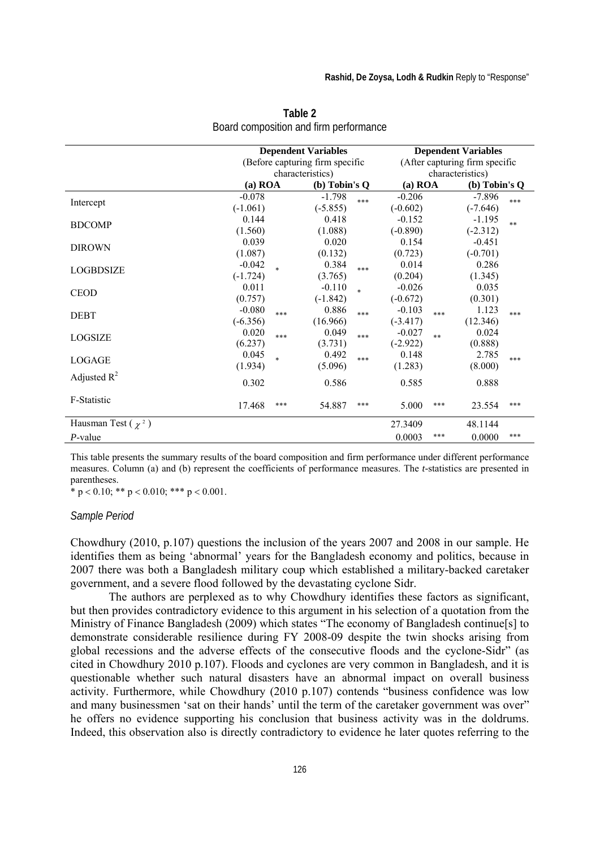|                         | <b>Dependent Variables</b><br>(Before capturing firm specific |                  |                                   |        | <b>Dependent Variables</b><br>(After capturing firm specific |      |                             |      |
|-------------------------|---------------------------------------------------------------|------------------|-----------------------------------|--------|--------------------------------------------------------------|------|-----------------------------|------|
|                         |                                                               | characteristics) |                                   |        | characteristics)                                             |      |                             |      |
|                         | $(a)$ ROA                                                     |                  | $(b)$ Tobin's $Q$                 |        | $(a)$ ROA                                                    |      | $(b)$ Tobin's $Q$           |      |
| Intercept               | $-0.078$<br>$(-1.061)$                                        |                  | $-1.798$<br>$(-5.855)$            | ***    | $-0.206$<br>$(-0.602)$                                       |      | $-7.896$<br>$(-7.646)$      | ***  |
| <b>BDCOMP</b>           | 0.144<br>(1.560)                                              |                  | 0.418<br>(1.088)                  |        | $-0.152$<br>$(-0.890)$                                       |      | $-1.195$<br>$(-2.312)$      | $**$ |
| <b>DIROWN</b>           | 0.039                                                         |                  | 0.020                             |        | 0.154                                                        |      | $-0.451$                    |      |
| <b>LOGBDSIZE</b>        | (1.087)<br>$-0.042$                                           | $\ast$           | (0.132)<br>0.384                  | ***    | (0.723)<br>0.014                                             |      | $(-0.701)$<br>0.286         |      |
| <b>CEOD</b>             | $(-1.724)$<br>0.011<br>(0.757)                                |                  | (3.765)<br>$-0.110$<br>$(-1.842)$ | $\ast$ | (0.204)<br>$-0.026$<br>$(-0.672)$                            |      | (1.345)<br>0.035<br>(0.301) |      |
| <b>DEBT</b>             | $-0.080$<br>$(-6.356)$                                        | ***              | 0.886<br>(16.966)                 | ***    | $-0.103$<br>$(-3.417)$                                       | ***  | 1.123<br>(12.346)           | ***  |
| LOGSIZE                 | 0.020<br>(6.237)                                              | ***              | 0.049<br>(3.731)                  | $***$  | $-0.027$<br>$(-2.922)$                                       | $**$ | 0.024<br>(0.888)            |      |
| LOGAGE                  | 0.045<br>(1.934)                                              | $\ast$           | 0.492<br>(5.096)                  | ***    | 0.148<br>(1.283)                                             |      | 2.785<br>(8.000)            | ***  |
| Adjusted $R^2$          | 0.302                                                         |                  | 0.586                             |        | 0.585                                                        |      | 0.888                       |      |
| F-Statistic             | 17.468                                                        | ***              | 54.887                            | ***    | 5.000                                                        | ***  | 23.554                      | ***  |
| Hausman Test $(\chi^2)$ |                                                               |                  |                                   |        | 27.3409                                                      |      | 48.1144                     |      |
| P-value                 |                                                               |                  |                                   |        | 0.0003                                                       | ***  | 0.0000                      | ***  |

**Table 2**  Board composition and firm performance

This table presents the summary results of the board composition and firm performance under different performance measures. Column (a) and (b) represent the coefficients of performance measures. The *t-*statistics are presented in parentheses.

 $*$  p < 0.10; \*\* p < 0.010; \*\*\* p < 0.001.

#### *Sample Period*

Chowdhury (2010, p.107) questions the inclusion of the years 2007 and 2008 in our sample. He identifies them as being 'abnormal' years for the Bangladesh economy and politics, because in 2007 there was both a Bangladesh military coup which established a military-backed caretaker government, and a severe flood followed by the devastating cyclone Sidr.

 The authors are perplexed as to why Chowdhury identifies these factors as significant, but then provides contradictory evidence to this argument in his selection of a quotation from the Ministry of Finance Bangladesh (2009) which states "The economy of Bangladesh continue[s] to demonstrate considerable resilience during FY 2008-09 despite the twin shocks arising from global recessions and the adverse effects of the consecutive floods and the cyclone-Sidr" (as cited in Chowdhury 2010 p.107). Floods and cyclones are very common in Bangladesh, and it is questionable whether such natural disasters have an abnormal impact on overall business activity. Furthermore, while Chowdhury (2010 p.107) contends "business confidence was low and many businessmen 'sat on their hands' until the term of the caretaker government was over" he offers no evidence supporting his conclusion that business activity was in the doldrums. Indeed, this observation also is directly contradictory to evidence he later quotes referring to the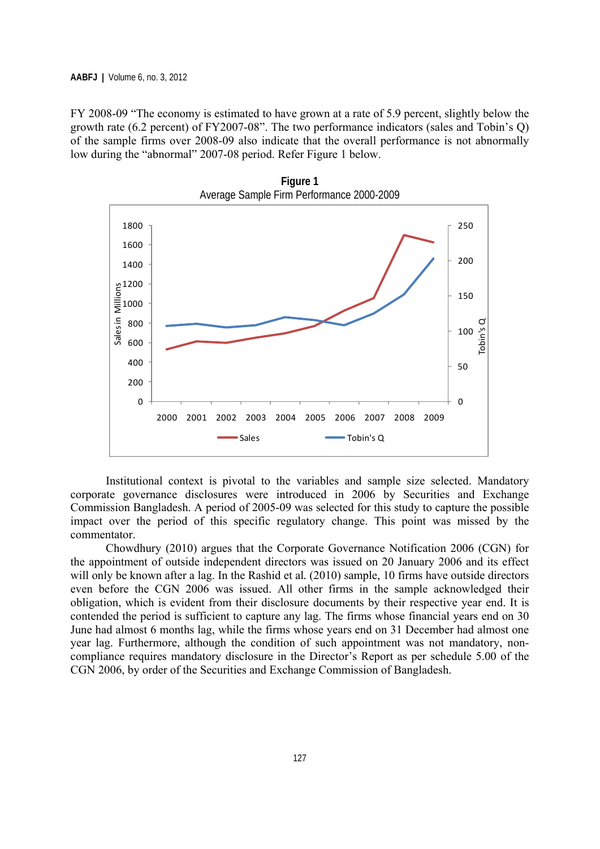FY 2008-09 "The economy is estimated to have grown at a rate of 5.9 percent, slightly below the growth rate (6.2 percent) of FY2007-08". The two performance indicators (sales and Tobin's Q) of the sample firms over 2008-09 also indicate that the overall performance is not abnormally low during the "abnormal" 2007-08 period. Refer Figure 1 below.



Institutional context is pivotal to the variables and sample size selected. Mandatory corporate governance disclosures were introduced in 2006 by Securities and Exchange Commission Bangladesh. A period of 2005-09 was selected for this study to capture the possible impact over the period of this specific regulatory change. This point was missed by the commentator.

Chowdhury (2010) argues that the Corporate Governance Notification 2006 (CGN) for the appointment of outside independent directors was issued on 20 January 2006 and its effect will only be known after a lag. In the Rashid et al.  $(2010)$  sample, 10 firms have outside directors even before the CGN 2006 was issued. All other firms in the sample acknowledged their obligation, which is evident from their disclosure documents by their respective year end. It is contended the period is sufficient to capture any lag. The firms whose financial years end on 30 June had almost 6 months lag, while the firms whose years end on 31 December had almost one year lag. Furthermore, although the condition of such appointment was not mandatory, noncompliance requires mandatory disclosure in the Director's Report as per schedule 5.00 of the CGN 2006, by order of the Securities and Exchange Commission of Bangladesh.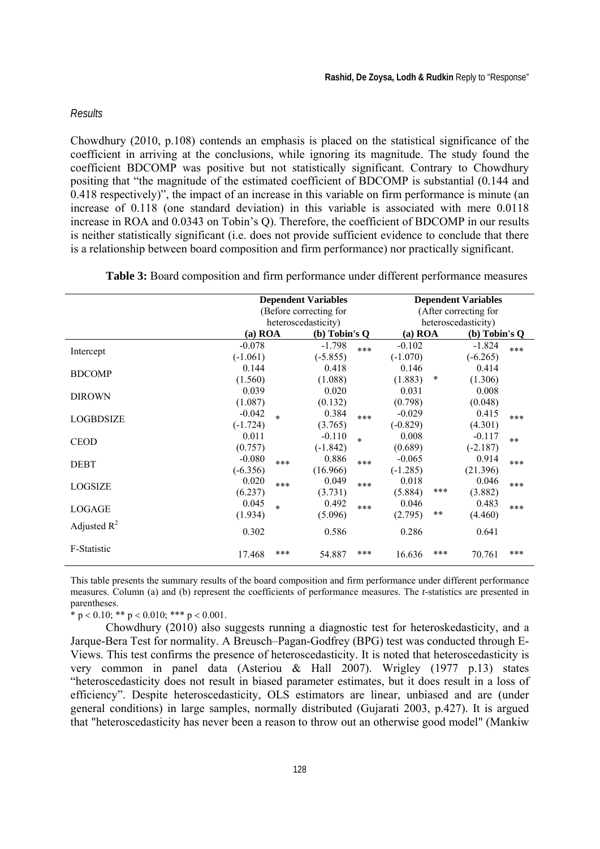#### *Results*

Chowdhury (2010, p.108) contends an emphasis is placed on the statistical significance of the coefficient in arriving at the conclusions, while ignoring its magnitude. The study found the coefficient BDCOMP was positive but not statistically significant. Contrary to Chowdhury positing that "the magnitude of the estimated coefficient of BDCOMP is substantial (0.144 and 0.418 respectively)", the impact of an increase in this variable on firm performance is minute (an increase of 0.118 (one standard deviation) in this variable is associated with mere 0.0118 increase in ROA and 0.0343 on Tobin's Q). Therefore, the coefficient of BDCOMP in our results is neither statistically significant (i.e. does not provide sufficient evidence to conclude that there is a relationship between board composition and firm performance) nor practically significant.

**Table 3:** Board composition and firm performance under different performance measures

|                  | <b>Dependent Variables</b> |                              |            |                       | <b>Dependent Variables</b> |        |                 |       |
|------------------|----------------------------|------------------------------|------------|-----------------------|----------------------------|--------|-----------------|-------|
|                  | (Before correcting for     |                              |            | (After correcting for |                            |        |                 |       |
|                  | heteroscedasticity)        |                              |            | heteroscedasticity)   |                            |        |                 |       |
|                  |                            | $(a)$ ROA<br>$(b)$ Tobin's Q |            |                       | $(a)$ ROA                  |        | (b) Tobin's $Q$ |       |
|                  | $-0.078$                   |                              | $-1.798$   | $***$                 | $-0.102$                   |        | $-1.824$        | $***$ |
| Intercept        | $(-1.061)$                 |                              | $(-5.855)$ |                       | $(-1.070)$                 |        | $(-6.265)$      |       |
| <b>BDCOMP</b>    | 0.144                      |                              | 0.418      |                       | 0.146                      |        | 0.414           |       |
|                  | (1.560)                    |                              | (1.088)    |                       | (1.883)                    | $\ast$ | (1.306)         |       |
| <b>DIROWN</b>    | 0.039                      |                              | 0.020      |                       | 0.031                      |        | 0.008           |       |
|                  | (1.087)                    |                              | (0.132)    |                       | (0.798)                    |        | (0.048)         |       |
| <b>LOGBDSIZE</b> | $-0.042$                   | $\ast$                       | 0.384      | $***$                 | $-0.029$                   |        | 0.415           | $***$ |
|                  | $(-1.724)$                 |                              | (3.765)    |                       | $(-0.829)$                 |        | (4.301)         |       |
| <b>CEOD</b>      | 0.011                      |                              | $-0.110$   | $\ast$                | 0.008                      |        | $-0.117$        | $**$  |
|                  | (0.757)                    |                              | $(-1.842)$ |                       | (0.689)                    |        | $(-2.187)$      |       |
| <b>DEBT</b>      | $-0.080$                   | $***$                        | 0.886      | ***                   | $-0.065$                   |        | 0.914           | $***$ |
|                  | $(-6.356)$                 |                              | (16.966)   |                       | $(-1.285)$                 |        | (21.396)        |       |
| <b>LOGSIZE</b>   | 0.020                      | $***$                        | 0.049      | ***                   | 0.018                      |        | 0.046           | $***$ |
|                  | (6.237)                    |                              | (3.731)    |                       | (5.884)                    | ***    | (3.882)         |       |
| LOGAGE           | 0.045                      | $\ast$                       | 0.492      | ***                   | 0.046                      |        | 0.483           | $***$ |
|                  | (1.934)                    |                              | (5.096)    |                       | (2.795)                    | $***$  | (4.460)         |       |
| Adjusted $R^2$   | 0.302                      |                              | 0.586      |                       | 0.286                      |        | 0.641           |       |
| F-Statistic      | 17.468                     | ***                          | 54.887     | ***                   | 16.636                     | ***    | 70.761          | $***$ |

This table presents the summary results of the board composition and firm performance under different performance measures. Column (a) and (b) represent the coefficients of performance measures. The *t-*statistics are presented in parentheses.

\* p < 0.10; \*\* p < 0.010; \*\*\* p < 0.001.

Chowdhury (2010) also suggests running a diagnostic test for heteroskedasticity, and a Jarque-Bera Test for normality. A Breusch–Pagan-Godfrey (BPG) test was conducted through E-Views. This test confirms the presence of heteroscedasticity. It is noted that heteroscedasticity is very common in panel data (Asteriou & Hall 2007). Wrigley (1977 p.13) states "heteroscedasticity does not result in biased parameter estimates, but it does result in a loss of efficiency". Despite heteroscedasticity, OLS estimators are linear, unbiased and are (under general conditions) in large samples, normally distributed (Gujarati 2003, p.427). It is argued that "heteroscedasticity has never been a reason to throw out an otherwise good model" (Mankiw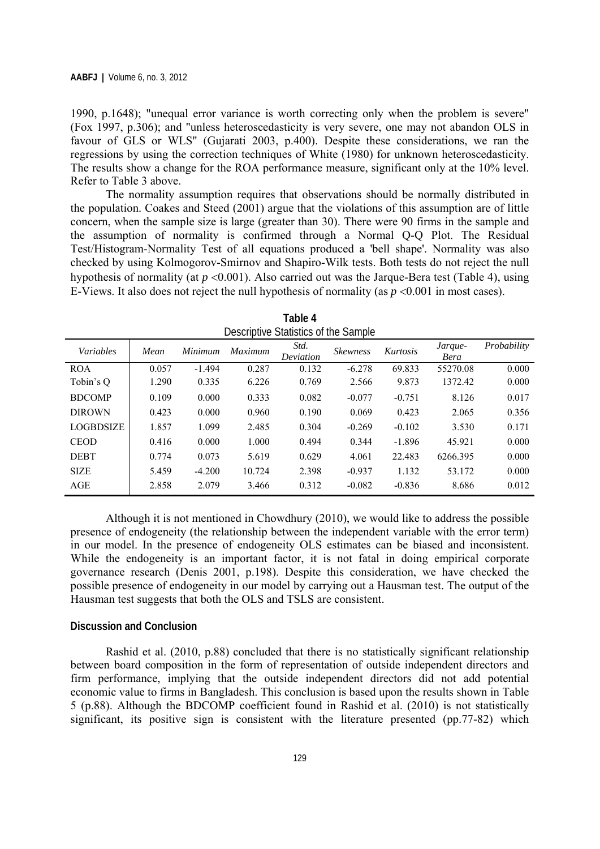1990, p.1648); "unequal error variance is worth correcting only when the problem is severe" (Fox 1997, p.306); and "unless heteroscedasticity is very severe, one may not abandon OLS in favour of GLS or WLS" (Gujarati 2003, p.400). Despite these considerations, we ran the regressions by using the correction techniques of White (1980) for unknown heteroscedasticity. The results show a change for the ROA performance measure, significant only at the 10% level. Refer to Table 3 above.

The normality assumption requires that observations should be normally distributed in the population. Coakes and Steed (2001) argue that the violations of this assumption are of little concern, when the sample size is large (greater than 30). There were 90 firms in the sample and the assumption of normality is confirmed through a Normal Q-Q Plot. The Residual Test/Histogram-Normality Test of all equations produced a 'bell shape'. Normality was also checked by using Kolmogorov-Smirnov and Shapiro-Wilk tests. Both tests do not reject the null hypothesis of normality (at  $p \le 0.001$ ). Also carried out was the Jarque-Bera test (Table 4), using E-Views. It also does not reject the null hypothesis of normality (as  $p \le 0.001$  in most cases).

| Descriptive Statistics of the Sample |       |          |                |                   |                 |          |                 |             |
|--------------------------------------|-------|----------|----------------|-------------------|-----------------|----------|-----------------|-------------|
| Variables                            | Mean  | Minimum  | <b>Maximum</b> | Std.<br>Deviation | <b>Skewness</b> | Kurtosis | Jarque-<br>Bera | Probability |
| <b>ROA</b>                           | 0.057 | $-1.494$ | 0.287          | 0.132             | $-6.278$        | 69.833   | 55270.08        | 0.000       |
| Tobin's Q                            | 1.290 | 0.335    | 6.226          | 0.769             | 2.566           | 9.873    | 1372.42         | 0.000       |
| <b>BDCOMP</b>                        | 0.109 | 0.000    | 0.333          | 0.082             | $-0.077$        | $-0.751$ | 8.126           | 0.017       |
| <b>DIROWN</b>                        | 0.423 | 0.000    | 0.960          | 0.190             | 0.069           | 0.423    | 2.065           | 0.356       |
| <b>LOGBDSIZE</b>                     | 1.857 | 1.099    | 2.485          | 0.304             | $-0.269$        | $-0.102$ | 3.530           | 0.171       |
| <b>CEOD</b>                          | 0.416 | 0.000    | 1.000          | 0.494             | 0.344           | $-1.896$ | 45.921          | 0.000       |
| <b>DEBT</b>                          | 0.774 | 0.073    | 5.619          | 0.629             | 4.061           | 22.483   | 6266.395        | 0.000       |
| <b>SIZE</b>                          | 5.459 | $-4.200$ | 10.724         | 2.398             | $-0.937$        | 1.132    | 53.172          | 0.000       |
| AGE                                  | 2.858 | 2.079    | 3.466          | 0.312             | $-0.082$        | $-0.836$ | 8.686           | 0.012       |

**Table 4**  Descriptive Statistics of the Sample

Although it is not mentioned in Chowdhury (2010), we would like to address the possible presence of endogeneity (the relationship between the independent variable with the error term) in our model. In the presence of endogeneity OLS estimates can be biased and inconsistent. While the endogeneity is an important factor, it is not fatal in doing empirical corporate governance research (Denis 2001, p.198). Despite this consideration, we have checked the possible presence of endogeneity in our model by carrying out a Hausman test. The output of the Hausman test suggests that both the OLS and TSLS are consistent.

#### **Discussion and Conclusion**

 Rashid et al. (2010, p.88) concluded that there is no statistically significant relationship between board composition in the form of representation of outside independent directors and firm performance, implying that the outside independent directors did not add potential economic value to firms in Bangladesh. This conclusion is based upon the results shown in Table 5 (p.88). Although the BDCOMP coefficient found in Rashid et al. (2010) is not statistically significant, its positive sign is consistent with the literature presented (pp.77-82) which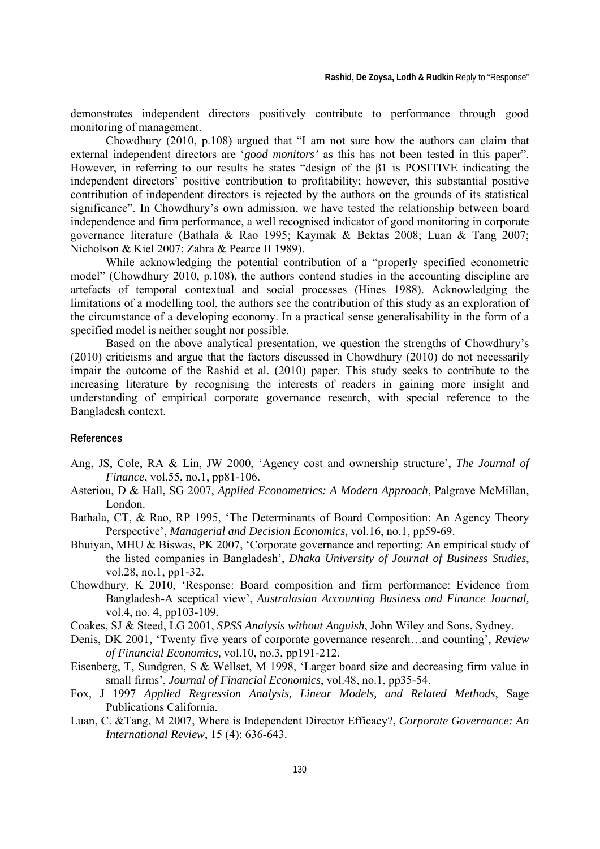demonstrates independent directors positively contribute to performance through good monitoring of management.

Chowdhury (2010, p.108) argued that "I am not sure how the authors can claim that external independent directors are '*good monitors'* as this has not been tested in this paper". However, in referring to our results he states "design of the β1 is POSITIVE indicating the independent directors' positive contribution to profitability; however, this substantial positive contribution of independent directors is rejected by the authors on the grounds of its statistical significance". In Chowdhury's own admission, we have tested the relationship between board independence and firm performance, a well recognised indicator of good monitoring in corporate governance literature (Bathala & Rao 1995; Kaymak & Bektas 2008; Luan & Tang 2007; Nicholson & Kiel 2007; Zahra & Pearce II 1989).

While acknowledging the potential contribution of a "properly specified econometric model" (Chowdhury 2010, p.108), the authors contend studies in the accounting discipline are artefacts of temporal contextual and social processes (Hines 1988). Acknowledging the limitations of a modelling tool, the authors see the contribution of this study as an exploration of the circumstance of a developing economy. In a practical sense generalisability in the form of a specified model is neither sought nor possible.

Based on the above analytical presentation, we question the strengths of Chowdhury's (2010) criticisms and argue that the factors discussed in Chowdhury (2010) do not necessarily impair the outcome of the Rashid et al. (2010) paper. This study seeks to contribute to the increasing literature by recognising the interests of readers in gaining more insight and understanding of empirical corporate governance research, with special reference to the Bangladesh context.

#### **References**

- Ang, JS, Cole, RA & Lin, JW 2000, 'Agency cost and ownership structure', *The Journal of Finance*, vol.55, no.1, pp81-106.
- Asteriou, D & Hall, SG 2007, *Applied Econometrics: A Modern Approach*, Palgrave McMillan, London.
- Bathala, CT, & Rao, RP 1995, 'The Determinants of Board Composition: An Agency Theory Perspective', *Managerial and Decision Economics,* vol.16, no.1, pp59-69.
- Bhuiyan, MHU & Biswas, PK 2007, 'Corporate governance and reporting: An empirical study of the listed companies in Bangladesh', *Dhaka University of Journal of Business Studies*, vol.28, no.1, pp1-32.
- Chowdhury, K 2010, 'Response: Board composition and firm performance: Evidence from Bangladesh-A sceptical view', *Australasian Accounting Business and Finance Journal,* vol.4, no. 4, pp103-109*.*
- Coakes, SJ & Steed, LG 2001, *SPSS Analysis without Anguish*, John Wiley and Sons, Sydney.
- Denis, DK 2001, 'Twenty five years of corporate governance research…and counting', *Review of Financial Economics,* vol.10, no.3, pp191-212.
- Eisenberg, T, Sundgren, S & Wellset, M 1998, 'Larger board size and decreasing firm value in small firms', *Journal of Financial Economics*, vol.48, no.1, pp35-54.
- Fox, J 1997 *Applied Regression Analysis, Linear Models, and Related Methods*, Sage Publications California.
- Luan, C. &Tang, M 2007, Where is Independent Director Efficacy?, *Corporate Governance: An International Review*, 15 (4): 636-643.